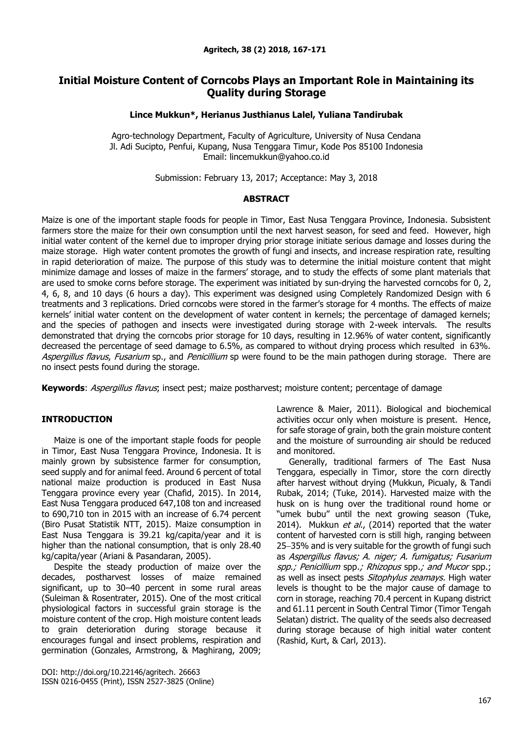# **Initial Moisture Content of Corncobs Plays an Important Role in Maintaining its Quality during Storage**

## **Lince Mukkun\*, Herianus Justhianus Lalel, Yuliana Tandirubak**

Agro-technology Department, Faculty of Agriculture, University of Nusa Cendana Jl. Adi Sucipto, Penfui, Kupang, Nusa Tenggara Timur, Kode Pos 85100 Indonesia Email: lincemukkun@yahoo.co.id

Submission: February 13, 2017; Acceptance: May 3, 2018

## **ABSTRACT**

Maize is one of the important staple foods for people in Timor, East Nusa Tenggara Province, Indonesia. Subsistent farmers store the maize for their own consumption until the next harvest season, for seed and feed. However, high initial water content of the kernel due to improper drying prior storage initiate serious damage and losses during the maize storage. High water content promotes the growth of fungi and insects, and increase respiration rate, resulting in rapid deterioration of maize. The purpose of this study was to determine the initial moisture content that might minimize damage and losses of maize in the farmers' storage, and to study the effects of some plant materials that are used to smoke corns before storage. The experiment was initiated by sun-drying the harvested corncobs for 0, 2, 4, 6, 8, and 10 days (6 hours a day). This experiment was designed using Completely Randomized Design with 6 treatments and 3 replications. Dried corncobs were stored in the farmer's storage for 4 months. The effects of maize kernels' initial water content on the development of water content in kernels; the percentage of damaged kernels; and the species of pathogen and insects were investigated during storage with 2-week intervals. The results demonstrated that drying the corncobs prior storage for 10 days, resulting in 12.96% of water content, significantly decreased the percentage of seed damage to 6.5%, as compared to without drying process which resulted in 63%. Aspergillus flavus, Fusarium sp., and Penicillium sp were found to be the main pathogen during storage. There are no insect pests found during the storage.

**Keywords**: *Aspergillus flavus*; insect pest; maize postharvest; moisture content; percentage of damage

## **INTRODUCTION**

Maize is one of the important staple foods for people in Timor, East Nusa Tenggara Province, Indonesia. It is mainly grown by subsistence farmer for consumption, seed supply and for animal feed. Around 6 percent of total national maize production is produced in East Nusa Tenggara province every year (Chafid, 2015). In 2014, East Nusa Tenggara produced 647,108 ton and increased to 690,710 ton in 2015 with an increase of 6.74 percent (Biro Pusat Statistik NTT, 2015). Maize consumption in East Nusa Tenggara is 39.21 kg/capita/year and it is higher than the national consumption, that is only 28.40 kg/capita/year (Ariani & Pasandaran, 2005).

Despite the steady production of maize over the decades, postharvest losses of maize remained significant, up to 30-40 percent in some rural areas (Suleiman & Rosentrater, 2015). One of the most critical physiological factors in successful grain storage is the moisture content of the crop. High moisture content leads to grain deterioration during storage because it encourages fungal and insect problems, respiration and germination (Gonzales, Armstrong, & Maghirang, 2009;

DOI: http://doi.org/10.22146/agritech. 26663 ISSN 0216-0455 (Print), ISSN 2527-3825 (Online) Lawrence & Maier, 2011). Biological and biochemical activities occur only when moisture is present. Hence, for safe storage of grain, both the grain moisture content and the moisture of surrounding air should be reduced and monitored.

Generally, traditional farmers of The East Nusa Tenggara, especially in Timor, store the corn directly after harvest without drying (Mukkun, Picualy, & Tandi Rubak, 2014; (Tuke, 2014). Harvested maize with the husk on is hung over the traditional round home or "umek bubu" until the next growing season (Tuke, 2014). Mukkun et al., (2014) reported that the water content of harvested corn is still high, ranging between 25-35% and is very suitable for the growth of fungi such as Aspergillus flavus; A. niger; A. fumigatus; Fusarium spp.; Penicillium spp.; Rhizopus spp.; and Mucor spp.; as well as insect pests *Sitophylus zeamays*. High water levels is thought to be the major cause of damage to corn in storage, reaching 70.4 percent in Kupang district and 61.11 percent in South Central Timor (Timor Tengah Selatan) district. The quality of the seeds also decreased during storage because of high initial water content (Rashid, Kurt, & Carl, 2013).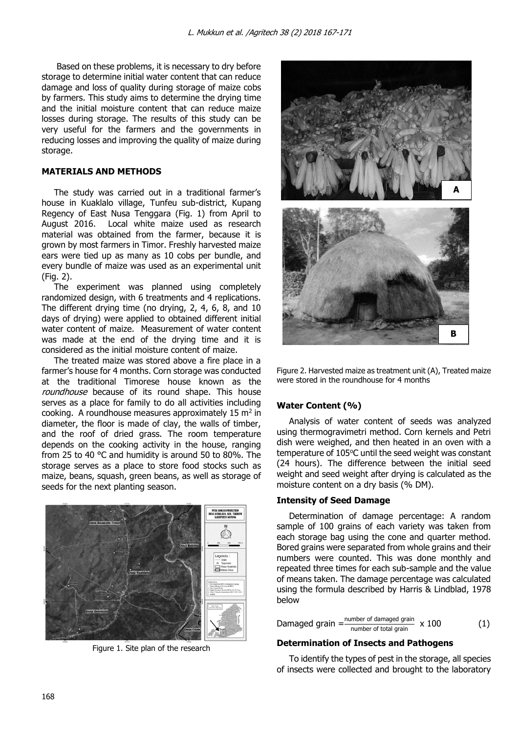Based on these problems, it is necessary to dry before storage to determine initial water content that can reduce damage and loss of quality during storage of maize cobs by farmers. This study aims to determine the drying time and the initial moisture content that can reduce maize losses during storage. The results of this study can be very useful for the farmers and the governments in reducing losses and improving the quality of maize during storage.

# **MATERIALS AND METHODS**

The study was carried out in a traditional farmer's house in Kuaklalo village, Tunfeu sub-district, Kupang Regency of East Nusa Tenggara (Fig. 1) from April to August 2016. Local white maize used as research material was obtained from the farmer, because it is grown by most farmers in Timor. Freshly harvested maize ears were tied up as many as 10 cobs per bundle, and every bundle of maize was used as an experimental unit (Fig. 2).

The experiment was planned using completely randomized design, with 6 treatments and 4 replications. The different drying time (no drying, 2, 4, 6, 8, and 10 days of drying) were applied to obtained different initial water content of maize. Measurement of water content was made at the end of the drying time and it is considered as the initial moisture content of maize.

The treated maize was stored above a fire place in a farmer's house for 4 months. Corn storage was conducted at the traditional Timorese house known as the roundhouse because of its round shape. This house serves as a place for family to do all activities including cooking. A roundhouse measures approximately  $15 \text{ m}^2$  in diameter, the floor is made of clay, the walls of timber, and the roof of dried grass. The room temperature depends on the cooking activity in the house, ranging from 25 to 40 °C and humidity is around 50 to 80%. The storage serves as a place to store food stocks such as maize, beans, squash, green beans, as well as storage of seeds for the next planting season.



Figure 1. Site plan of the research



Figure 2. Harvested maize as treatment unit (A), Treated maize were stored in the roundhouse for 4 months

# **Water Content (%)**

Analysis of water content of seeds was analyzed using thermogravimetri method. Corn kernels and Petri dish were weighed, and then heated in an oven with a temperature of  $105^{\circ}$ C until the seed weight was constant (24 hours). The difference between the initial seed weight and seed weight after drying is calculated as the moisture content on a dry basis (% DM).

## **Intensity of Seed Damage**

Determination of damage percentage: A random sample of 100 grains of each variety was taken from each storage bag using the cone and quarter method. Bored grains were separated from whole grains and their numbers were counted. This was done monthly and repeated three times for each sub-sample and the value of means taken. The damage percentage was calculated using the formula described by Harris & Lindblad, 1978 below

Damaged grain  $=\frac{number\ of\ damaged\ gradient}{number\ of\ total\ grain} \times 100$  (1)

## **Determination of Insects and Pathogens**

To identify the types of pest in the storage, all species of insects were collected and brought to the laboratory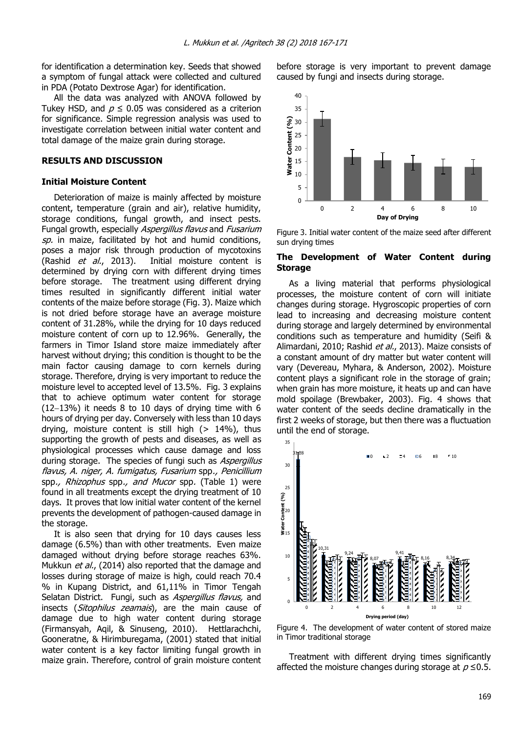for identification a determination key. Seeds that showed a symptom of fungal attack were collected and cultured in PDA (Potato Dextrose Agar) for identification.

All the data was analyzed with ANOVA followed by Tukey HSD, and  $p \leq 0.05$  was considered as a criterion for significance. Simple regression analysis was used to investigate correlation between initial water content and total damage of the maize grain during storage.

### **RESULTS AND DISCUSSION**

#### **Initial Moisture Content**

Deterioration of maize is mainly affected by moisture content, temperature (grain and air), relative humidity, storage conditions, fungal growth, and insect pests. Fungal growth, especially Aspergillus flavus and Fusarium sp. in maize, facilitated by hot and humid conditions, poses a major risk through production of mycotoxins (Rashid et al., 2013). Initial moisture content is determined by drying corn with different drying times before storage. The treatment using different drying times resulted in significantly different initial water contents of the maize before storage (Fig. 3). Maize which is not dried before storage have an average moisture content of 31.28%, while the drying for 10 days reduced moisture content of corn up to 12.96%. Generally, the farmers in Timor Island store maize immediately after harvest without drying; this condition is thought to be the main factor causing damage to corn kernels during storage. Therefore, drying is very important to reduce the moisture level to accepted level of 13.5%. Fig. 3 explains that to achieve optimum water content for storage  $(12-13%)$  it needs 8 to 10 days of drying time with 6 hours of drying per day. Conversely with less than 10 days drying, moisture content is still high  $(> 14\%)$ , thus supporting the growth of pests and diseases, as well as physiological processes which cause damage and loss during storage. The species of fungi such as Aspergillus flavus, A. niger, A. fumigatus, Fusarium spp., Penicillium spp., Rhizophus spp., and Mucor spp. (Table 1) were found in all treatments except the drying treatment of 10 days. It proves that low initial water content of the kernel prevents the development of pathogen-caused damage in the storage.

It is also seen that drying for 10 days causes less damage (6.5%) than with other treatments. Even maize damaged without drying before storage reaches 63%. Mukkun et al., (2014) also reported that the damage and losses during storage of maize is high, could reach 70.4 % in Kupang District, and 61,11% in Timor Tengah Selatan District. Fungi, such as Aspergillus flavus, and insects (Sitophilus zeamais), are the main cause of damage due to high water content during storage (Firmansyah, Aqil, & Sinuseng, 2010). Hettlarachchi, Gooneratne, & Hirimburegama, (2001) stated that initial water content is a key factor limiting fungal growth in maize grain. Therefore, control of grain moisture content

before storage is very important to prevent damage caused by fungi and insects during storage.



Figure 3. Initial water content of the maize seed after different sun drying times

### **The Development of Water Content during Storage**

As a living material that performs physiological processes, the moisture content of corn will initiate changes during storage. Hygroscopic properties of corn lead to increasing and decreasing moisture content during storage and largely determined by environmental conditions such as temperature and humidity (Seifi & Alimardani, 2010; Rashid et al., 2013). Maize consists of a constant amount of dry matter but water content will vary (Devereau, Myhara, & Anderson, 2002). Moisture content plays a significant role in the storage of grain; when grain has more moisture, it heats up and can have mold spoilage (Brewbaker, 2003). Fig. 4 shows that water content of the seeds decline dramatically in the first 2 weeks of storage, but then there was a fluctuation until the end of storage.



Figure 4. The development of water content of stored maize in Timor traditional storage

Treatment with different drying times significantly affected the moisture changes during storage at  $p \le 0.5$ .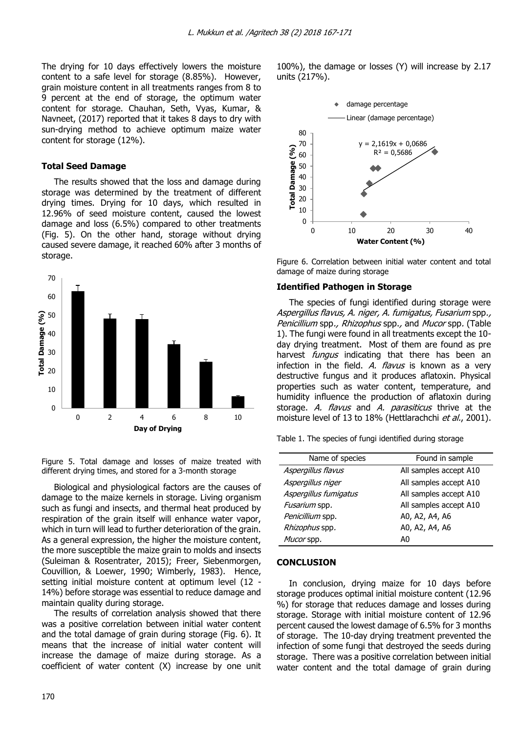The drying for 10 days effectively lowers the moisture content to a safe level for storage (8.85%). However, grain moisture content in all treatments ranges from 8 to 9 percent at the end of storage, the optimum water content for storage. Chauhan, Seth, Vyas, Kumar, & Navneet, (2017) reported that it takes 8 days to dry with sun-drying method to achieve optimum maize water content for storage (12%).

### **Total Seed Damage**

The results showed that the loss and damage during storage was determined by the treatment of different drying times. Drying for 10 days, which resulted in 12.96% of seed moisture content, caused the lowest damage and loss (6.5%) compared to other treatments (Fig. 5). On the other hand, storage without drying caused severe damage, it reached 60% after 3 months of storage.



Figure 5. Total damage and losses of maize treated with different drying times, and stored for a 3-month storage

Biological and physiological factors are the causes of damage to the maize kernels in storage. Living organism such as fungi and insects, and thermal heat produced by respiration of the grain itself will enhance water vapor, which in turn will lead to further deterioration of the grain. As a general expression, the higher the moisture content, the more susceptible the maize grain to molds and insects (Suleiman & Rosentrater, 2015); Freer, Siebenmorgen, Couvillion, & Loewer, 1990; Wimberly, 1983). Hence, setting initial moisture content at optimum level (12 - 14%) before storage was essential to reduce damage and maintain quality during storage.

The results of correlation analysis showed that there was a positive correlation between initial water content and the total damage of grain during storage (Fig. 6). It means that the increase of initial water content will increase the damage of maize during storage. As a coefficient of water content (X) increase by one unit 100%), the damage or losses (Y) will increase by 2.17 units (217%).



Figure 6. Correlation between initial water content and total damage of maize during storage

#### **Identified Pathogen in Storage**

The species of fungi identified during storage were Aspergillus flavus, A. niger, A. fumigatus, Fusarium spp., Penicillium spp., Rhizophus spp., and Mucor spp. (Table 1). The fungi were found in all treatments except the 10 day drying treatment. Most of them are found as pre harvest *fungus* indicating that there has been an infection in the field. A. flavus is known as a very destructive fungus and it produces aflatoxin. Physical properties such as water content, temperature, and humidity influence the production of aflatoxin during storage. A. flavus and A. parasiticus thrive at the moisture level of 13 to 18% (Hettlarachchi et al., 2001).

Table 1. The species of fungi identified during storage

| Name of species       | Found in sample        |
|-----------------------|------------------------|
| Aspergillus flavus    | All samples accept A10 |
| Aspergillus niger     | All samples accept A10 |
| Aspergillus fumigatus | All samples accept A10 |
| Fusarium spp.         | All samples accept A10 |
| Penicillium spp.      | A0, A2, A4, A6         |
| Rhizophus spp.        | A0, A2, A4, A6         |
| Mucor spp.            | A0                     |

#### **CONCLUSION**

In conclusion, drying maize for 10 days before storage produces optimal initial moisture content (12.96 %) for storage that reduces damage and losses during storage. Storage with initial moisture content of 12.96 percent caused the lowest damage of 6.5% for 3 months of storage. The 10-day drying treatment prevented the infection of some fungi that destroyed the seeds during storage. There was a positive correlation between initial water content and the total damage of grain during